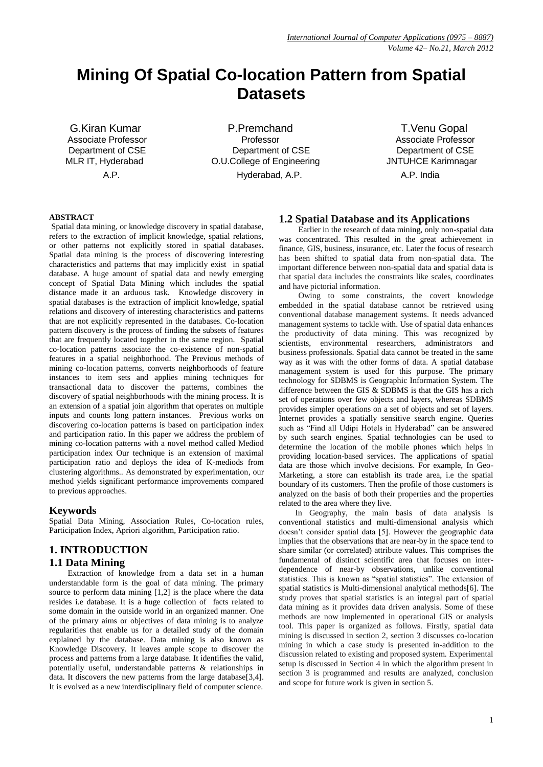# **Mining Of Spatial Co-location Pattern from Spatial Datasets**

G.Kiran Kumar **P.Premchand** T.Venu Gopal Associate Professor Professor Associate Professor Department of CSE Department of CSE Department of CSE MLR IT, Hyderabad **CONTA** O.U.College of Engineering **State State State And America** CONTA ONCE A UNITUHCE Karimnagar A.P. A.P. **Hyderabad, A.P.** A.P. **A.P. India** 

#### **ABSTRACT**

Spatial data mining, or knowledge discovery in spatial database, refers to the extraction of implicit knowledge, spatial relations, or other patterns not explicitly stored in spatial databases**.**  Spatial data mining is the process of discovering interesting characteristics and patterns that may implicitly exist in spatial database. A huge amount of spatial data and newly emerging concept of Spatial Data Mining which includes the spatial distance made it an arduous task. Knowledge discovery in spatial databases is the extraction of implicit knowledge, spatial relations and discovery of interesting characteristics and patterns that are not explicitly represented in the databases. Co-location pattern discovery is the process of finding the subsets of features that are frequently located together in the same region. Spatial co-location patterns associate the co-existence of non-spatial features in a spatial neighborhood. The Previous methods of mining co-location patterns, converts neighborhoods of feature instances to item sets and applies mining techniques for transactional data to discover the patterns, combines the discovery of spatial neighborhoods with the mining process. It is an extension of a spatial join algorithm that operates on multiple inputs and counts long pattern instances. Previous works on discovering co-location patterns is based on participation index and participation ratio. In this paper we address the problem of mining co-location patterns with a novel method called Mediod participation index Our technique is an extension of maximal participation ratio and deploys the idea of K-mediods from clustering algorithms.. As demonstrated by experimentation, our method yields significant performance improvements compared to previous approaches.

#### **Keywords**

Spatial Data Mining, Association Rules, Co-location rules, Participation Index, Apriori algorithm, Participation ratio.

## **1. INTRODUCTION 1.1 Data Mining**

 Extraction of knowledge from a data set in a human understandable form is the goal of data mining. The primary source to perform data mining [1,2] is the place where the data resides i.e database. It is a huge collection of facts related to some domain in the outside world in an organized manner. One of the primary aims or objectives of data mining is to analyze regularities that enable us for a detailed study of the domain explained by the database. Data mining is also known as Knowledge Discovery. It leaves ample scope to discover the process and patterns from a large database. It identifies the valid, potentially useful, understandable patterns & relationships in data. It discovers the new patterns from the large database[3,4]. It is evolved as a new interdisciplinary field of computer science.

## **1.2 Spatial Database and its Applications**

Earlier in the research of data mining, only non-spatial data was concentrated. This resulted in the great achievement in finance, GIS, business, insurance, etc. Later the focus of research has been shifted to spatial data from non-spatial data. The important difference between non-spatial data and spatial data is that spatial data includes the constraints like scales, coordinates and have pictorial information.

Owing to some constraints, the covert knowledge embedded in the spatial database cannot be retrieved using conventional database management systems. It needs advanced management systems to tackle with. Use of spatial data enhances the productivity of data mining. This was recognized by scientists, environmental researchers, administrators and business professionals. Spatial data cannot be treated in the same way as it was with the other forms of data. A spatial database management system is used for this purpose. The primary technology for SDBMS is Geographic Information System. The difference between the GIS & SDBMS is that the GIS has a rich set of operations over few objects and layers, whereas SDBMS provides simpler operations on a set of objects and set of layers. Internet provides a spatially sensitive search engine. Queries such as "Find all Udipi Hotels in Hyderabad" can be answered by such search engines. Spatial technologies can be used to determine the location of the mobile phones which helps in providing location-based services. The applications of spatial data are those which involve decisions. For example, In Geo-Marketing, a store can establish its trade area, i.e the spatial boundary of its customers. Then the profile of those customers is analyzed on the basis of both their properties and the properties related to the area where they live.

In Geography, the main basis of data analysis is conventional statistics and multi-dimensional analysis which doesn"t consider spatial data [5]. However the geographic data implies that the observations that are near-by in the space tend to share similar (or correlated) attribute values. This comprises the fundamental of distinct scientific area that focuses on interdependence of near-by observations, unlike conventional statistics. This is known as "spatial statistics". The extension of spatial statistics is Multi-dimensional analytical methods[6]. The study proves that spatial statistics is an integral part of spatial data mining as it provides data driven analysis. Some of these methods are now implemented in operational GIS or analysis tool. This paper is organized as follows. Firstly, spatial data mining is discussed in section 2, section 3 discusses co-location mining in which a case study is presented in-addition to the discussion related to existing and proposed system. Experimental setup is discussed in Section 4 in which the algorithm present in section 3 is programmed and results are analyzed, conclusion and scope for future work is given in section 5.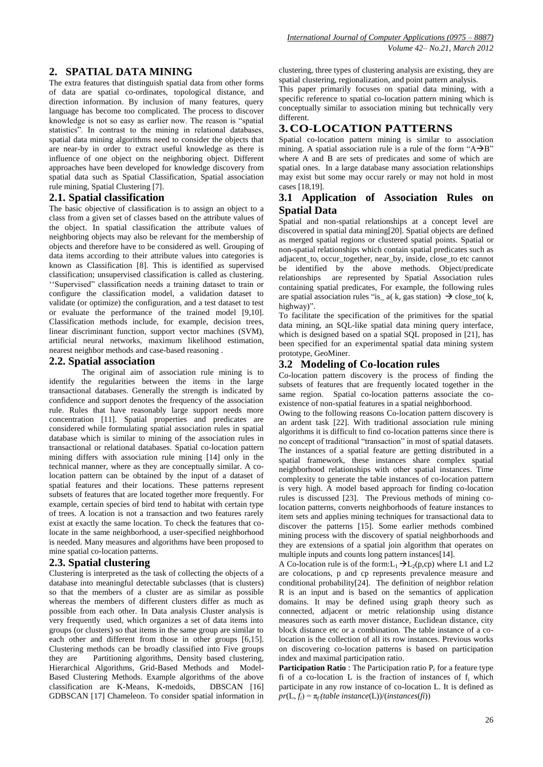# **2. SPATIAL DATA MINING**

The extra features that distinguish spatial data from other forms of data are spatial co-ordinates, topological distance, and direction information. By inclusion of many features, query language has become too complicated. The process to discover knowledge is not so easy as earlier now. The reason is "spatial statistics". In contrast to the mining in relational databases, spatial data mining algorithms need to consider the objects that are near-by in order to extract useful knowledge as there is influence of one object on the neighboring object. Different approaches have been developed for knowledge discovery from spatial data such as Spatial Classification, Spatial association rule mining, Spatial Clustering [7].

# **2.1. Spatial classification**

The basic objective of classification is to assign an object to a class from a given set of classes based on the attribute values of the object. In spatial classification the attribute values of neighboring objects may also be relevant for the membership of objects and therefore have to be considered as well. Grouping of data items according to their attribute values into categories is known as Classification [8]. This is identified as supervised classification; unsupervised classification is called as clustering. ""Supervised" classification needs a training dataset to train or configure the classification model, a validation dataset to validate (or optimize) the configuration, and a test dataset to test or evaluate the performance of the trained model [9,10]. Classification methods include, for example, decision trees, linear discriminant function, support vector machines (SVM), artificial neural networks, maximum likelihood estimation, nearest neighbor methods and case-based reasoning .

## **2.2. Spatial association**

The original aim of association rule mining is to identify the regularities between the items in the large transactional databases. Generally the strength is indicated by confidence and support denotes the frequency of the association rule. Rules that have reasonably large support needs more concentration [11]. Spatial properties and predicates are considered while formulating spatial association rules in spatial database which is similar to mining of the association rules in transactional or relational databases. Spatial co-location pattern mining differs with association rule mining [14] only in the technical manner, where as they are conceptually similar. A colocation pattern can be obtained by the input of a dataset of spatial features and their locations. These patterns represent subsets of features that are located together more frequently. For example, certain species of bird tend to habitat with certain type of trees. A location is not a transaction and two features rarely exist at exactly the same location. To check the features that colocate in the same neighborhood, a user-specified neighborhood is needed. Many measures and algorithms have been proposed to mine spatial co-location patterns.

# **2.3. Spatial clustering**

Clustering is interpreted as the task of collecting the objects of a database into meaningful detectable subclasses (that is clusters) so that the members of a cluster are as similar as possible whereas the members of different clusters differ as much as possible from each other. In Data analysis Cluster analysis is very frequently used, which organizes a set of data items into groups (or clusters) so that items in the same group are similar to each other and different from those in other groups [6,15]. Clustering methods can be broadly classified into Five groups they are Partitioning algorithms, Density based clustering, Hierarchical Algorithms, Grid-Based Methods and Model-Based Clustering Methods. Example algorithms of the above classification are K-Means, K-medoids, DBSCAN [16] GDBSCAN [17] Chameleon. To consider spatial information in

clustering, three types of clustering analysis are existing, they are spatial clustering, regionalization, and point pattern analysis.

This paper primarily focuses on spatial data mining, with a specific reference to spatial co-location pattern mining which is conceptually similar to association mining but technically very different.

# **3.CO-LOCATION PATTERNS**

Spatial co-location pattern mining is similar to association mining. A spatial association rule is a rule of the form " $A\rightarrow B$ " where A and B are sets of predicates and some of which are spatial ones. In a large database many association relationships may exist but some may occur rarely or may not hold in most cases [18,19].

# **3.1 Application of Association Rules on Spatial Data**

Spatial and non-spatial relationships at a concept level are discovered in spatial data mining[20]. Spatial objects are defined as merged spatial regions or clustered spatial points. Spatial or non-spatial relationships which contain spatial predicates such as adjacent\_to, occur\_together, near\_by, inside, close\_to etc cannot be identified by the above methods. Object/predicate relationships are represented by Spatial Association rules containing spatial predicates, For example, the following rules are spatial association rules "is  $a(k, gas)$  station)  $\rightarrow$  close to( k, highway)".

To facilitate the specification of the primitives for the spatial data mining, an SQL-like spatial data mining query interface, which is designed based on a spatial SQL proposed in [21], has been specified for an experimental spatial data mining system prototype, GeoMiner.

# **3.2 Modeling of Co-location rules**

Co-location pattern discovery is the process of finding the subsets of features that are frequently located together in the same region. Spatial co-location patterns associate the coexistence of non-spatial features in a spatial neighborhood.

Owing to the following reasons Co-location pattern discovery is an ardent task [22]. With traditional association rule mining algorithms it is difficult to find co-location patterns since there is no concept of traditional "transaction" in most of spatial datasets. The instances of a spatial feature are getting distributed in a spatial framework, these instances share complex spatial neighborhood relationships with other spatial instances. Time complexity to generate the table instances of co-location pattern is very high. A model based approach for finding co-location rules is discussed [23]. The Previous methods of mining colocation patterns, converts neighborhoods of feature instances to item sets and applies mining techniques for transactional data to discover the patterns [15]. Some earlier methods combined mining process with the discovery of spatial neighborhoods and they are extensions of a spatial join algorithm that operates on multiple inputs and counts long pattern instances[14].

A Co-location rule is of the form:  $L_1 \rightarrow L_2(p, cp)$  where L1 and L2 are colocations, p and cp represents prevalence measure and conditional probability[24]. The definition of neighbor relation R is an input and is based on the semantics of application domains. It may be defined using graph theory such as connected, adjacent or metric relationship using distance measures such as earth mover distance, Euclidean distance, city block distance etc or a combination. The table instance of a colocation is the collection of all its row instances. Previous works on discovering co-location patterns is based on participation index and maximal participation ratio.

**Participation Ratio**: The Participation ratio P<sub>r</sub> for a feature type fi of a co-location L is the fraction of instances of  $f_i$  which participate in any row instance of co-location L. It is defined as  $pr(L, f_i) = \pi_f (table \ instance(L)) / (instances(fi))$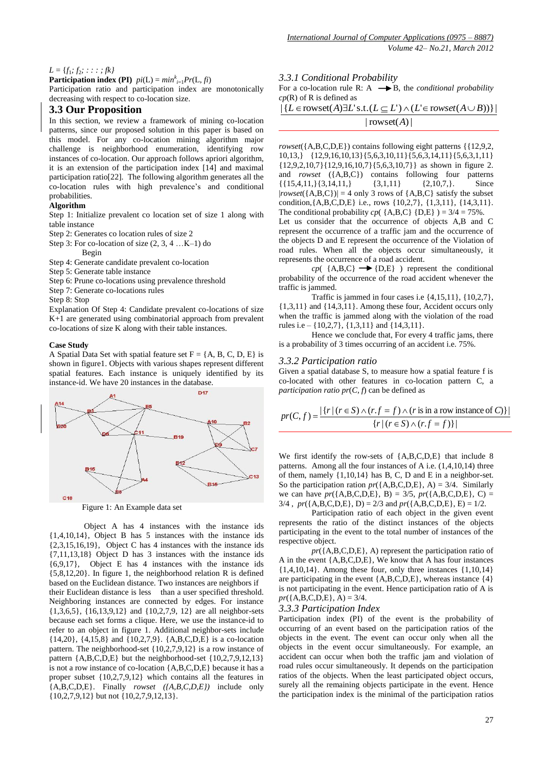## $L = \{f_1; f_2; \ldots; f_k\}$

**Participation index (PI)**  $pi(L) = min^{k}{}_{i=1}Pr(L, fi)$ 

Participation ratio and participation index are monotonically decreasing with respect to co-location size.

## **3.3 Our Proposition**

In this section, we review a framework of mining co-location patterns, since our proposed solution in this paper is based on this model. For any co-location mining algorithm major challenge is neighborhood enumeration, identifying row instances of co-location. Our approach follows apriori algorithm, it is an extension of the participation index [14] and maximal participation ratio[22]. The following algorithm generates all the co-location rules with high prevalence"s and conditional probabilities.

#### **Algorithm**

Step 1: Initialize prevalent co location set of size 1 along with table instance

Step 2: Generates co location rules of size 2

Step 3: For co-location of size (2, 3, 4 …K–1) do Begin

Step 4: Generate candidate prevalent co-location

Step 5: Generate table instance

Step 6: Prune co-locations using prevalence threshold

Step 7: Generate co-locations rules

Step 8: Stop

Explanation Of Step 4: Candidate prevalent co-locations of size K+1 are generated using combinatorial approach from prevalent co-locations of size K along with their table instances.

#### **Case Study**

A Spatial Data Set with spatial feature set  $F = \{A, B, C, D, E\}$  is shown in figure1. Objects with various shapes represent different spatial features. Each instance is uniquely identified by its instance-id. We have 20 instances in the database.



Figure 1: An Example data set

Object A has 4 instances with the instance ids {1,4,10,14}, Object B has 5 instances with the instance ids {2,3,15,16,19}, Object C has 4 instances with the instance ids {7,11,13,18} Object D has 3 instances with the instance ids {6,9,17}, Object E has 4 instances with the instance ids {5,8,12,20}. In figure 1, the neighborhood relation R is defined based on the Euclidean distance. Two instances are neighbors if their Euclidean distance is less than a user specified threshold. Neighboring instances are connected by edges. For instance {1,3,6,5}, {16,13,9,12} and {10,2,7,9, 12} are all neighbor-sets because each set forms a clique. Here, we use the instance-id to refer to an object in figure 1. Additional neighbor-sets include {14,20}, {4,15,8} and {10,2,7,9}. {A,B,C,D,E} is a co-location pattern. The neighborhood-set {10,2,7,9,12} is a row instance of pattern {A,B,C,D,E} but the neighborhood-set {10,2,7,9,12,13} is not a row instance of co-location {A,B,C,D,E} because it has a proper subset {10,2,7,9,12} which contains all the features in {A,B,C,D,E}. Finally *rowset ({A,B,C,D,E})* include only {10,2,7,9,12} but not {10,2,7,9,12,13}.

*3.3.1 Conditional Probability*

For a co-location rule R:  $A \rightarrow B$ , the *conditional probability cp*(R) of R is defined as

| $ \{L \in \text{rowset}(A) \exists L' \text{ s.t.} (L \subseteq L') \land (L' \in \text{rowset}(A \cup B))\} $ |
|----------------------------------------------------------------------------------------------------------------|
| $ {\rm rowset}(A) $                                                                                            |

*rowset*({A,B,C,D,E}) contains following eight patterns {{12,9,2, 10,13,} {12,9,16,10,13}{5,6,3,10,11}{5,6,3,14,11}{5,6,3,1,11}  ${12,9,2,10,7}$ {12,9,16,10,7}{5,6,3,10,7}} as shown in figure 2. and *rowset* ({A,B,C}) contains following four patterns {{15,4,11,}{3,14,11,} {3,1,11} {2,10,7}}. Since  $\{ \{15,4,11, \}\{3,14,11, \}$   $\{3,1,11\}$   $\{2,10,7, \}$ . Since  $|rowset(\{A,B,C\})| = 4$  only 3 rows of  $\{A,B,C\}$  satisfy the subset condition,{A,B,C,D,E} i.e., rows {10,2,7}, {1,3,11}, {14,3,11}. The conditional probability  $cp({$  {A,B,C} {D,E}  $)= 3/4 = 75\%$ .

Let us consider that the occurrence of objects A,B and C represent the occurrence of a traffic jam and the occurrence of the objects D and E represent the occurrence of the Violation of road rules. When all the objects occur simultaneously, it represents the occurrence of a road accident.

 $\text{CD}($  {A,B,C}  $\rightarrow$  {D,E} ) represent the conditional probability of the occurrence of the road accident whenever the traffic is jammed.

Traffic is jammed in four cases i.e {4,15,11}, {10,2,7},  ${1,3,11}$  and  ${14,3,11}$ . Among these four, Accident occurs only when the traffic is jammed along with the violation of the road rules i.e – {10,2,7}, {1,3,11} and {14,3,11}.

Hence we conclude that, For every 4 traffic jams, there is a probability of 3 times occurring of an accident i.e. 75%.

#### *3.3.2 Participation ratio*

Given a spatial database S, to measure how a spatial feature f is co-located with other features in co-location pattern C, a *participation ratio pr*(*C, f*) can be defined as

$$
pr(C, f) = \frac{|\{r \mid (r \in S) \land (r.f = f) \land (r \text{ is in a row instance of } C)\}|}{|r| (r \in S) \land (r.f = f)|}
$$

We first identify the row-sets of {A,B,C,D,E} that include 8 patterns. Among all the four instances of A i.e. (1,4,10,14) three of them, namely {1,10,14} has B, C, D and E in a neighbor-set. So the participation ration  $pr({A,B,C,D,E}, A) = 3/4$ . Similarly we can have  $pr({A,B,C,D,E}, B) = 3/5, pr({A,B,C,D,E}, C) =$  $3/4$ ,  $pr({A,B,C,D,E}, D) = 2/3$  and  $pr({A,B,C,D,E}, E) = 1/2$ .

Participation ratio of each object in the given event represents the ratio of the distinct instances of the objects participating in the event to the total number of instances of the respective object.

*pr*({A,B,C,D,E}, A) represent the participation ratio of A in the event {A,B,C,D,E}, We know that A has four instances  $\{1,4,10,14\}$ . Among these four, only three instances  $\{1,10,14\}$ are participating in the event  ${A,B,C,D,E}$ , whereas instance  ${4}$ is not participating in the event. Hence participation ratio of A is  $pr({A,B,C,D,E}, A) = 3/4.$ 

#### *3.3.3 Participation Index*

Participation index (PI) of the event is the probability of occurring of an event based on the participation ratios of the objects in the event. The event can occur only when all the objects in the event occur simultaneously. For example, an accident can occur when both the traffic jam and violation of road rules occur simultaneously. It depends on the participation ratios of the objects. When the least participated object occurs, surely all the remaining objects participate in the event. Hence the participation index is the minimal of the participation ratios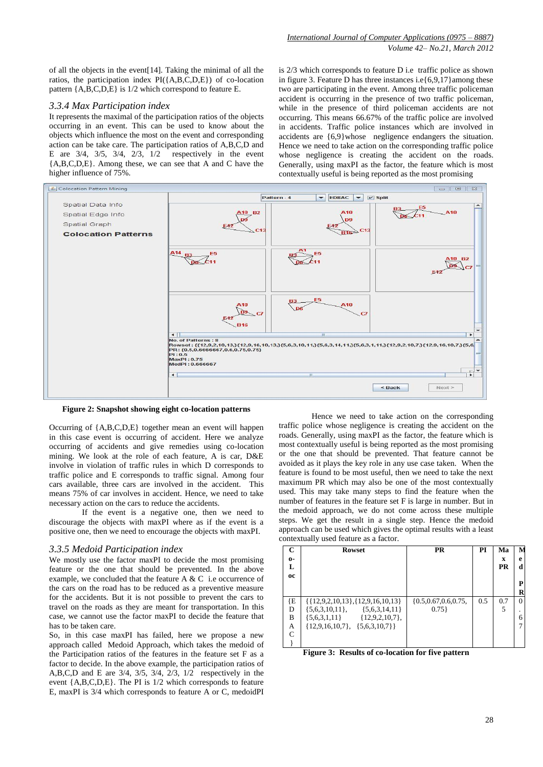of all the objects in the event[14]. Taking the minimal of all the ratios, the participation index PI({A,B,C,D,E}) of co-location pattern {A,B,C,D,E} is 1/2 which correspond to feature E.

## *3.3.4 Max Participation index*

It represents the maximal of the participation ratios of the objects occurring in an event. This can be used to know about the objects which influence the most on the event and corresponding action can be take care. The participation ratios of A,B,C,D and E are  $3/4$ ,  $3/5$ ,  $3/4$ ,  $2/3$ ,  $1/2$  respectively in the event {A,B,C,D,E}. Among these, we can see that A and C have the higher influence of 75%.

is 2/3 which corresponds to feature D i.e traffic police as shown in figure 3. Feature D has three instances i.e $\{6,9,17\}$  among these two are participating in the event. Among three traffic policeman accident is occurring in the presence of two traffic policeman, while in the presence of third policeman accidents are not occurring. This means 66.67% of the traffic police are involved in accidents. Traffic police instances which are involved in accidents are {6,9}whose negligence endangers the situation. Hence we need to take action on the corresponding traffic police whose negligence is creating the accident on the roads. Generally, using maxPI as the factor, the feature which is most contextually useful is being reported as the most promising



**Figure 2: Snapshot showing eight co-location patterns**

Occurring of {A,B,C,D,E} together mean an event will happen in this case event is occurring of accident. Here we analyze occurring of accidents and give remedies using co-location mining. We look at the role of each feature, A is car, D&E involve in violation of traffic rules in which D corresponds to traffic police and E corresponds to traffic signal. Among four cars available, three cars are involved in the accident. This means 75% of car involves in accident. Hence, we need to take necessary action on the cars to reduce the accidents.

If the event is a negative one, then we need to discourage the objects with maxPI where as if the event is a positive one, then we need to encourage the objects with maxPI.

## *3.3.5 Medoid Participation index*

We mostly use the factor maxPI to decide the most promising feature or the one that should be prevented. In the above example, we concluded that the feature A & C i.e occurrence of the cars on the road has to be reduced as a preventive measure for the accidents. But it is not possible to prevent the cars to travel on the roads as they are meant for transportation. In this case, we cannot use the factor maxPI to decide the feature that has to be taken care.

So, in this case maxPI has failed, here we propose a new approach called Medoid Approach, which takes the medoid of the Participation ratios of the features in the feature set F as a factor to decide. In the above example, the participation ratios of A,B,C,D and E are 3/4, 3/5, 3/4, 2/3, 1/2 respectively in the event {A,B,C,D,E}. The PI is 1/2 which corresponds to feature E, maxPI is 3/4 which corresponds to feature A or C, medoidPI

Hence we need to take action on the corresponding traffic police whose negligence is creating the accident on the roads. Generally, using maxPI as the factor, the feature which is most contextually useful is being reported as the most promising or the one that should be prevented. That feature cannot be avoided as it plays the key role in any use case taken. When the feature is found to be most useful, then we need to take the next maximum PR which may also be one of the most contextually used. This may take many steps to find the feature when the number of features in the feature set F is large in number. But in the medoid approach, we do not come across these multiple steps. We get the result in a single step. Hence the medoid approach can be used which gives the optimal results with a least contextually used feature as a factor.

| 0-<br>L<br>0C                           | <b>Rowset</b>                                                                                                                                                         | PR                                | PI  | Ma<br>X<br>PR | M<br>e<br>d<br>P<br>R |
|-----------------------------------------|-----------------------------------------------------------------------------------------------------------------------------------------------------------------------|-----------------------------------|-----|---------------|-----------------------|
| ſE<br>D<br>B<br>А<br>$\curvearrowright$ | $\{\{12,9,2,10,13\},\{12,9,16,10,13\}\}$<br>$\{5,6,3,10,11\},\$<br>$\{5,6,3,14,11\}$<br>$\{5,6,3,1,11\}$ $\{12,9,2,10,7\},\$<br>$\{12,9,16,10,7\}, \{5,6,3,10,7\}\}\$ | ${0.5, 0.67, 0.6, 0.75,}$<br>0.75 | 0.5 | 0.7<br>5      | $\Omega$<br>6         |

**Figure 3: Results of co-location for five pattern**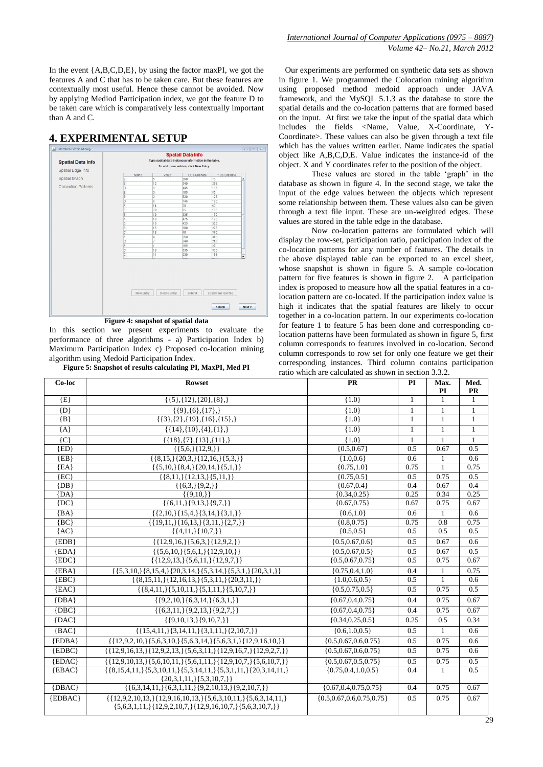In the event  ${A, B, C, D, E}$ , by using the factor maxPI, we got the features A and C that has to be taken care. But these features are contextually most useful. Hence these cannot be avoided. Now by applying Mediod Participation index, we got the feature D to be taken care which is comparatively less contextually important than A and C.

## **4. EXPERIMENTAL SETUP**



#### **Figure 4: snapshot of spatial data**

In this section we present experiments to evaluate the performance of three algorithms - a) Participation Index b) Maximum Participation Index c) Proposed co-location mining algorithm using Medoid Participation Index.

**Figure 5: Snapshot of results calculating PI, MaxPI, Med PI**

 Our experiments are performed on synthetic data sets as shown in figure 1. We programmed the Colocation mining algorithm using proposed method medoid approach under JAVA framework, and the MySQL 5.1.3 as the database to store the spatial details and the co-location patterns that are formed based on the input. At first we take the input of the spatial data which includes the fields <Name, Value, X-Coordinate, Y-Coordinate>. These values can also be given through a text file which has the values written earlier. Name indicates the spatial object like A,B,C,D,E. Value indicates the instance-id of the object. X and Y coordinates refer to the position of the object.

These values are stored in the table 'graph' in the database as shown in figure 4. In the second stage, we take the input of the edge values between the objects which represent some relationship between them. These values also can be given through a text file input. These are un-weighted edges. These values are stored in the table edge in the database.

Now co-location patterns are formulated which will display the row-set, participation ratio, participation index of the co-location patterns for any number of features. The details in the above displayed table can be exported to an excel sheet, whose snapshot is shown in figure 5. A sample co-location pattern for five features is shown in figure 2. A participation index is proposed to measure how all the spatial features in a colocation pattern are co-located. If the participation index value is high it indicates that the spatial features are likely to occur together in a co-location pattern. In our experiments co-location for feature 1 to feature  $\overline{5}$  has been done and corresponding colocation patterns have been formulated as shown in figure 5, first column corresponds to features involved in co-location. Second column corresponds to row set for only one feature we get their corresponding instances. Third column contains participation ratio which are calculated as shown in section 3.3.2.

| Co-loc          | <b>Rowset</b>                                                                                                                                   | <b>PR</b>                      | PI               | Max.<br>PI   | Med.<br><b>PR</b> |
|-----------------|-------------------------------------------------------------------------------------------------------------------------------------------------|--------------------------------|------------------|--------------|-------------------|
| $\{E\}$         | $\{\{5\}, \{12\}, \{20\}, \{8\}\}\$                                                                                                             | ${1.0}$                        | $\mathbf{1}$     | $\mathbf{1}$ | 1                 |
| $\{D\}$         | $\{\{9\},\{6\},\{17\},\}$                                                                                                                       | ${1.0}$                        | $\mathbf{1}$     | $\mathbf{1}$ | $\mathbf{1}$      |
| ${B}$           | $\{\{3\},\{2\},\{19\},\{16\},\{15\},\}$                                                                                                         | ${1.0}$                        | $\mathbf{1}$     | $\mathbf{1}$ | $\mathbf{1}$      |
| ${A}$           | $\{\{14\}, \{10\}, \{4\}, \{1\}, \}$                                                                                                            | ${1.0}$                        | $\mathbf{1}$     | $\mathbf{1}$ | $\mathbf{1}$      |
| ${C}$           | $\{\{18\},\{7\},\{13\},\{11\},\}$                                                                                                               | ${1.0}$                        | $\mathbf{1}$     | 1            | $\mathbf{1}$      |
| $\{ED\}$        | $\{\{5,6,\}\{\{12,9,\}\}\}\$                                                                                                                    | ${0.5, 0.67}$                  | $\overline{0.5}$ | 0.67         | 0.5               |
| ${EB}$          | $\{\{8,15,\}\{20,3,\}\{12,16,\}\{5,3,\}\}\$                                                                                                     | ${1.0, 0.6}$                   | 0.6              | 1            | 0.6               |
| ${EA}$          | $\{\{5,10,\}\{8,4,\}\{20,14,\}\{5,1,\}\}\$                                                                                                      | ${0.75, 1.0}$                  | 0.75             | $\mathbf{1}$ | 0.75              |
| $\overline{EC}$ | $\{\{8,11,\}\$ {12,13, }{5,11, }}                                                                                                               | ${0.75, 0.5}$                  | 0.5              | 0.75         | 0.5               |
| $\{DB\}$        | $\{\{6,3,\}\$ {9,2, } }                                                                                                                         | ${0.67, 0.4}$                  | 0.4              | 0.67         | 0.4               |
| ${DA}$          | $\{\{9,10,\}\}\$                                                                                                                                | ${0.34, 0.25}$                 | 0.25             | 0.34         | 0.25              |
| $\{DC\}$        | $\{\{6,11,\}\{9,13,\}\{9,7,\}\}\$                                                                                                               | ${0.67, 0.75}$                 | 0.67             | 0.75         | 0.67              |
| ${BA}$          | $\{\{2,10,\}\$ {15,4, }{3,14, }{3,1, }}                                                                                                         | ${0.6, 1.0}$                   | 0.6              | $\mathbf{1}$ | 0.6               |
| $\{BC\}$        | $\{\{19,11,\}\{\{16,13,\}\}\{3,11,\}\{2,7,\}\}\$                                                                                                | ${0.8, 0.75}$                  | 0.75             | 0.8          | 0.75              |
| ${AC}$          | $\{\{4,11,\}\{\{10,7,\}\}\}\$                                                                                                                   | ${0.5, 0.5}$                   | 0.5              | 0.5          | 0.5               |
| ${EDB}$         | $\{\{12,9,16,\}\{5,6,3,\}\{12,9,2,\}\}\$                                                                                                        | ${0.5, 0.67, 0.6}$             | 0.5              | 0.67         | 0.6               |
| $\{EDA\}$       | $\{\{5,6,10,\}\}\{5,6,1,\}\{12,9,10,\}\}$                                                                                                       | ${0.5, 0.67, 0.5}$             | 0.5              | 0.67         | 0.5               |
| $\{EDC\}$       | $\{\{12,9,13,\}\{5,6,11,\}\{12,9,7,\}\}\$                                                                                                       | ${0.5, 0.67, 0.75}$            | 0.5              | 0.75         | 0.67              |
| ${EBA}$         | $\{\{5,3,10,\}\}\{8,15,4,\}\{20,3,14,\}\{5,3,14,\}\{5,3,1,\}\{20,3,1,\}\}$                                                                      | ${0.75, 0.4, 1.0}$             | 0.4              | 1            | 0.75              |
| $\{EBC\}$       | $\{\{8,15,11,\}\$ {12,16,13,}{5,3,11,}{20,3,11,}}                                                                                               | ${1.0, 0.6, 0.5}$              | 0.5              | $\mathbf{1}$ | 0.6               |
| ${EAC}$         | $\{\{8,4,11,\}\$ {5,10,11, } {5,1,11, } {5,10,7, } }                                                                                            | ${0.5, 0.75, 0.5}$             | 0.5              | 0.75         | 0.5               |
| $\{DBA\}$       | $\{\{9,2,10,\}\{6,3,14,\}\{6,3,1,\}\}\$                                                                                                         | ${0.67, 0.4, 0.75}$            | 0.4              | 0.75         | 0.67              |
| $\{DBC\}$       | $\{\{6,3,11,\}\{9,2,13,\}\{9,2,7,\}\}\$                                                                                                         | ${0.67, 0.4, 0.75}$            | 0.4              | 0.75         | 0.67              |
| ${DAC}$         | $\{\{9,10,13,\}\{9,10,7,\}\}\$                                                                                                                  | ${0.34, 0.25, 0.5}$            | 0.25             | 0.5          | 0.34              |
| ${BAC}$         | $\{\{15,4,11,\}\{3,14,11,\}\{3,1,11,\}\{2,10,7,\}\}\$                                                                                           | ${0.6, 1.0, 0.5}$              | 0.5              | $\mathbf{1}$ | 0.6               |
| $\{EDBA\}$      | $\{\{12,9,2,10,\}\{5,6,3,10,\}\{5,6,3,14,\}\{5,6,3,1,\}\{12,9,16,10,\}\}\$                                                                      | ${0.5, 0.67, 0.6, 0.75}$       | 0.5              | 0.75         | 0.6               |
| $\{EDBC\}$      | $\{\{12,9,16,13,\}\{12,9,2,13,\}\{5,6,3,11,\}\{12,9,16,7,\}\{12,9,2,7,\}\}\$                                                                    | ${0.5, 0.67, 0.6, 0.75}$       | 0.5              | 0.75         | 0.6               |
| $\{EDAC\}$      | $\{\{12,9,10,13,\}\{5,6,10,11,\}\{5,6,1,11,\}\{12,9,10,7,\}\{5,6,10,7,\}\}\$                                                                    | ${0.5.0.67.0.5.0.75}$          | 0.5              | 0.75         | 0.5               |
| $\{EBAC\}$      | $\{\{8,15,4,11,\}\{5,3,10,11,\}\{5,3,14,11,\}\{5,3,1,11,\}\{20,3,14,11,\}\$<br>$\{20,3,1,11,\}\{5,3,10,7,\}\}$                                  | ${0.75, 0.4, 1.0, 0.5}$        | 0.4              | $\mathbf{1}$ | 0.5               |
| $\{DBAC\}$      | $\{\{6,3,14,11,\}\{6,3,1,11,\}\{9,2,10,13,\}\{9,2,10,7,\}\}\$                                                                                   | ${0.67, 0.4, 0.75, 0.75}$      | 0.4              | 0.75         | 0.67              |
| {EDBAC}         | $\{\{12,9,2,10,13,\}\{12,9,16,10,13,\}\{5,6,3,10,11,\}\{5,6,3,14,11,\}\$<br>$\{5,6,3,1,11,\}\{12,9,2,10,7,\}\{12,9,16,10,7,\}\{5,6,3,10,7,\}\}$ | ${0.5, 0.67, 0.6, 0.75, 0.75}$ | 0.5              | 0.75         | 0.67              |